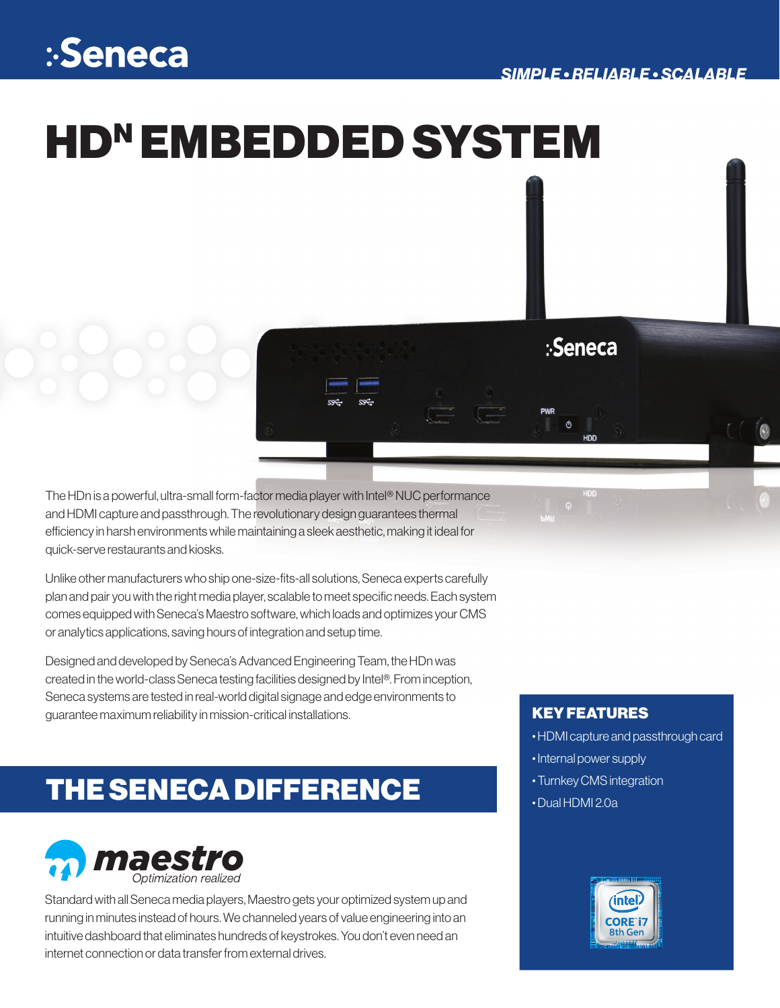### :-Seneca

# HDN EMBEDDED SYSTEM

The HDn is a powerful, ultra-small form-factor media player with Intel® NUC performance and HDMI capture and passthrough. The revolutionary design guarantees thermal efficiency in harsh environments while maintaining a sleek aesthetic, making it ideal for quick-serve restaurants and kiosks.

Unlike other manufacturers who ship one-size-fits-all solutions, Seneca experts carefully plan and pair you with the right media player, scalable to meet specific needs. Each system comes equipped with Seneca's Maestro software, which loads and optimizes your CMS or analytics applications, saving hours of integration and setup time.

Designed and developed by Seneca's Advanced Engineering Team, the HDn was created in the world-class Seneca testing facilities designed by Intel®. From inception, Seneca systems are tested in real-world digital signage and edge environments to guarantee maximum reliability in mission-critical installations.

### THE SENECA DIFFERENCE



Standard with all Seneca media players, Maestro gets your optimized system up and running in minutes instead of hours. We channeled years of value engineering into an intuitive dashboard that eliminates hundreds of keystrokes. You don't even need an internet connection or data transfer from external drives.

### KEY FEATURES

:Seneca

- HDMI capture and passthrough card
- Internal power supply
- Turnkey CMS integration
- Dual HDMI 2.0a